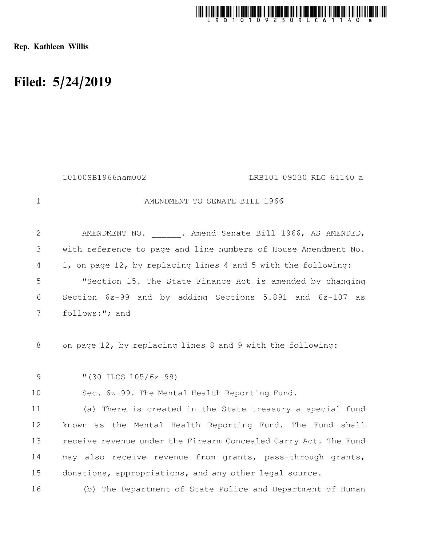

Rep. Kathleen Willis

## Filed: 5/24/2019

|              | 10100SB1966ham002<br>LRB101 09230 RLC 61140 a                   |
|--------------|-----------------------------------------------------------------|
| $\mathbf{1}$ | AMENDMENT TO SENATE BILL 1966                                   |
| $\mathbf{2}$ | AMENDMENT NO. . Amend Senate Bill 1966, AS AMENDED,             |
| 3            | with reference to page and line numbers of House Amendment No.  |
| 4            | 1, on page 12, by replacing lines 4 and 5 with the following:   |
| 5            | "Section 15. The State Finance Act is amended by changing       |
| 6            | Section 6z-99 and by adding Sections 5.891 and 6z-107 as        |
| 7            | follows:"; and                                                  |
| 8            | on page 12, by replacing lines 8 and 9 with the following:      |
| 9            | " $(30$ ILCS $105/6z-99)$                                       |
| 10           | Sec. 6z-99. The Mental Health Reporting Fund.                   |
| 11           | (a) There is created in the State treasury a special fund       |
| 12           | known as the Mental Health Reporting Fund. The Fund shall       |
| 13           | receive revenue under the Firearm Concealed Carry Act. The Fund |
| 14           | may also receive revenue from grants, pass-through grants,      |
| 15           | donations, appropriations, and any other legal source.          |
| 16           | (b) The Department of State Police and Department of Human      |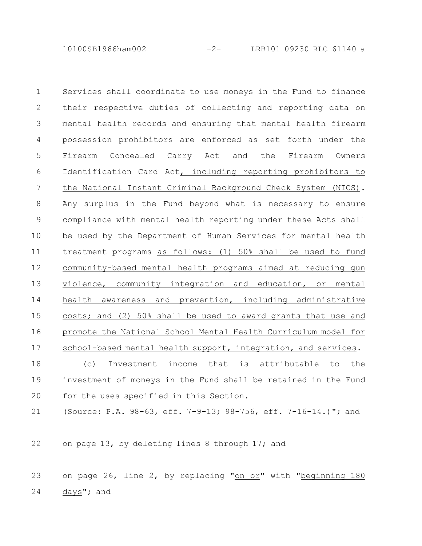10100SB1966ham002 -2- LRB101 09230 RLC 61140 a

Services shall coordinate to use moneys in the Fund to finance their respective duties of collecting and reporting data on mental health records and ensuring that mental health firearm possession prohibitors are enforced as set forth under the Firearm Concealed Carry Act and the Firearm Owners Identification Card Act, including reporting prohibitors to the National Instant Criminal Background Check System (NICS). Any surplus in the Fund beyond what is necessary to ensure compliance with mental health reporting under these Acts shall be used by the Department of Human Services for mental health treatment programs as follows: (1) 50% shall be used to fund community-based mental health programs aimed at reducing gun violence, community integration and education, or mental health awareness and prevention, including administrative costs; and (2) 50% shall be used to award grants that use and promote the National School Mental Health Curriculum model for school-based mental health support, integration, and services. 1 2 3 4 5 6 7 8 9 10 11 12 13 14 15 16 17

(c) Investment income that is attributable to the investment of moneys in the Fund shall be retained in the Fund for the uses specified in this Section. 18 19 20

(Source: P.A. 98-63, eff. 7-9-13; 98-756, eff. 7-16-14.)"; and 21

on page 13, by deleting lines 8 through 17; and 22

on page 26, line 2, by replacing "on or" with "beginning 180 days"; and 23 24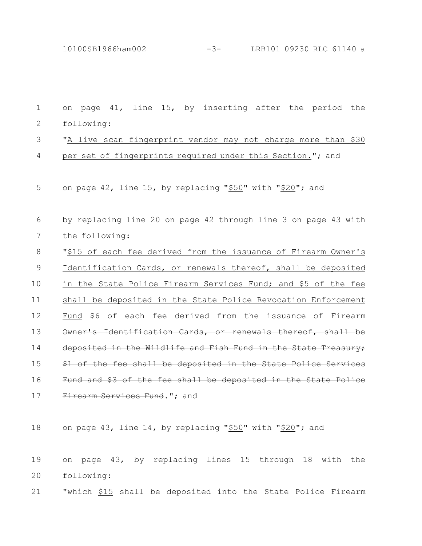10100SB1966ham002 -3- LRB101 09230 RLC 61140 a

| 1            | on page 41, line 15, by inserting after the period the         |
|--------------|----------------------------------------------------------------|
| $\mathbf{2}$ | following:                                                     |
| 3            | "A live scan fingerprint vendor may not charge more than \$30  |
| 4            | per set of fingerprints required under this Section."; and     |
| 5            | on page 42, line 15, by replacing "\$50" with "\$20"; and      |
| 6            | by replacing line 20 on page 42 through line 3 on page 43 with |
| 7            | the following:                                                 |
| 8            | "\$15 of each fee derived from the issuance of Firearm Owner's |
| $\mathsf 9$  | Identification Cards, or renewals thereof, shall be deposited  |
| 10           | in the State Police Firearm Services Fund; and \$5 of the fee  |
| 11           | shall be deposited in the State Police Revocation Enforcement  |
| 12           | Fund \$6 of each fee derived from the issuance of Firearm      |
| 13           | Owner's Identification Cards, or renewals thereof, shall be    |
| 14           | deposited in the Wildlife and Fish Fund in the State Treasury; |
| 15           | \$1 of the fee shall be deposited in the State Police Services |
| 16           | Fund and \$3 of the fee shall be deposited in the State Police |
| 17           | Firearm Services Fund."; and                                   |
| 18           | on page 43, line 14, by replacing "\$50" with "\$20"; and      |
| 19           | on page 43, by replacing lines 15 through 18 with the          |
| 20           | following:                                                     |
| 21           | "which \$15 shall be deposited into the State Police Firearm   |